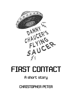

## **FIRST CONTACT**

## A short story

**CHRISTOPHER PETER**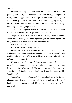'Whoah!'

Danny backed against a tree, one hand raised over his eyes. The piercingly bright light bore down on him from above, pinning him to the spot like a trapped insect. Was it a police helicopter, mistaking him for a runaway criminal? But there was no loud chopping helicopter noise. Instead it was eerily quiet, with a just faint kind of whistling, humming sound hanging in the air.

Then the searchlight beam slid to one side, and he was able to see more clearly the unearthly shape looming above him.

Suspended as if by invisible wires, it was only ten or so metres above him. It was big and round, a gleaming silver framed against the early evening sky, and ringed with a pulsing blue light.

No. It *couldn't* be.

But it was. *It was a flying saucer!*

Danny wanted to dive behind the tree … but although it was frightening, the saucer was also strangely, hypnotically beautiful. He couldn't take his eyes off it, even as his neck began to ache with the effort of gazing upwards.

He started to get the bizarre feeling the saucer was *looking* at him. Or rather, he supposed, whoever (or whatever) was on board was looking at him. Who was it? The army? *Aliens*? Would they be friendly, or …? Surely they wouldn't hurt a defenceless ten-year-old? Would they?

Suddenly the saucer's beam of light swung back on to him. Danny clamped shut his eyes against the painful glare and pressed himself back against the rough tree trunk. His heart was racing but he also felt oddly calm.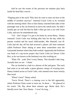And he saw the events of the previous ten minutes play back inside his head like a movie …

'Flipping pain in the neck! Why does he want to meet out here in the middle of nowhere anyway?' muttered Uncle Colin as he wrestled with the steering wheel. Next to him Danny clutched both sides of the passenger seat as the car bounced on down the rutted track. He didn't usually get car-sick but then he didn't often get into a car with Uncle Colin, and now he remembered why.

'Um – don't forget I've got to be home by seven-thirty,' Danny ventured. Uncle Colin was looking after him for the day while his parents worked and his usual child-minder, Mrs Hartnell, was ill. Colin had the day off but had received a phone call from someone called Professor Dune asking to meet them somewhere near the Ganymede Institute where they both worked. Apparently the Professor was head of a top-secret project that Uncle Colin (or Doctor Colin Box, as he was known at the Institute) was also working on.

'What. Oh – yeah. Don't worry Danny. This shouldn't take long. Actually here we are – I think.'

The car lurched to a halt in a shower of dirt and grass. The track had come to an end under a green gloomy canopy of swaying trees. Danny looked across at Uncle Colin, who seemed even more twitchy than usual.

'Where's here?' Danny asked.

'Travis Wood. There's a clearing over to the left apparently, where Professor Dune wants to meet me. In about …' He glanced at his watch. 'Oh, flip, about three minutes ago. Better dash. He's literally *never* late. Now Danny – I won't be long …'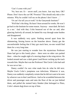'Can't I come with you?'

'No, best not. Er – secret stuff, you know. Just stay here, OK? Please. Don't leave the car OK? Promise? This should only take a few minutes. Why he couldn't tell me on the phone I don't know …'

'Or can't he tell you at work? At the Ganymede Institute?'

'Well that's the thing. He hasn't been around for weeks. He won't go back to the Institute for some reason. Anyway – must dash. Be back in a mo.' And with that, Colin bounced out of the car and, after glancing furtively all around, he batted his way through some bushes and disappeared.

It was suddenly very quiet. Nothing moved apart from the shimmering, hissing leaves on the branches above. Danny got the uncomfortable feeling that if they got stuck here, no-one would find them for a very long time.

He was just starting to wonder how the mysterious Professor Dune had got to this lonely place – there were no other cars parked there – when he caught sight of a moving shape in the wing mirror. He looked around and saw a dark green Land Rover rocking up the track towards him. Maybe that was the Professor? But Uncle Colin had said he was never late …

Danny couldn't be sure what made him do what he did next. Maybe Uncle Colin's jumpiness was infectious. Whatever it was, Danny was suddenly completely certain that he did *not* want to be seen by whoever was in that Land Rover. And so he scrambled between the driver and passenger seats and onto the floor of the car just behind them, and pulled the stained hairy blanket (that belonged to Pluto, Colin's absent dog) down on top of him.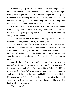He lay there, very still. He heard the Land Rover's engine draw closer, and then stop. Then the slam of a car door. Quiet footsteps, coming near. Right beside the car. Danny thought he actually *felt* someone's eyes scanning the inside of the car, and a bolt of cold electricity fizzed up his back. Would they see him? *Had* they seen him? And wait a minute – were the car doors locked ...?

His nose tickled with one of Pluto's hairs, and he had the sudden overwhelming need to sneeze. At exactly the same moment he was seized with the equally pressing urge to shake his left leg, now burning with pins and needles.

The next few seconds stretched into infinity. He began to think his nose would explode and his leg would drop off.

Then, with a surge of cool relief, he heard the footsteps retreat from the car and fade into silence. He waited for the sound of the Land Rover's door and the engine to re-start, but there was nothing. Finally he threw off the hairy blanket, hauled himself onto the back seat and waited for the sneeze – which then, of course, decided not to show up after all.

Outside, the Land Rover was still and empty. It was khaki green and looked like it might belong to the army. But there was no sign of its owner, nor of Uncle Colin. What now? Uncle Colin had told him to stay put, but Danny's leg screamed with cramp and he needed to walk around. So he opened the door and hobbled out, shaking his leg like a demented Irish dancer. Finally, he leant back against the car and wondered how long he'd have to wait, or whether he'd have to dive back inside at any moment.

'Do not move!'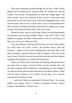The sharp command cracked through the air like a whip. Danny gasped and crouched down, staring wildly all around him. But he couldn't see anyone, and gradually he stood up straight again. The order couldn't have been directed at him. In fact it had come from somewhere in the trees that Uncle Colin had disappeared into a few minutes earlier. But it wasn't Uncle Colin's voice; it had sounded more like a woman's, though on the deep side and from a rather scary, angry woman. Not Professor Dune either, if he was a man.

Before he knew what he was doing, Danny was ducking beneath the branches and moving stealthily along a faint path. Uncle Colin might be in danger. He hadn't left his phone in the car with Danny, so there was no way of calling for help.

Very soon Danny could hear the low buzz of voices from ahead. He could make out Uncle Colin's, and another man's, and that woman's – quieter now but still sounding sharp and cold. Then, as he drew up behind a gnarled old tree trunk, he began to hear the words more clearly. Warily he peered around the trunk and saw three figures standing close together in a small clearing beyond.

There was Uncle Colin, red-faced, eyes blazing. Danny had never seen him look so angry. In front of him was the woman; tall, with viciously cropped yellow-blond hair, and standing so ruler-straight it was like she had a pole shoved up the back of her khaki uniform. Then, with his back to Danny so he couldn't see his face, was a man he assumed to be Professor Dune.

'… and I don't think *you* understand, Professor Dune,' the woman soldier was saying. 'This is a matter of national security. Project Europa is the military's concern now.'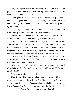'No, no, Captain Frost!' huffed Uncle Colin. 'This is a *civilian* project. We don't need the military poking their noses in. We know what you'd do with it, don't we!'

'Calm yourself, Colin,' said Professor Dune quietly. 'There's nothing the Captain here can do, not really. Project Europa is safe from her interfering army friends. The DISC cannot just be taken by her or by anyone else.'

'Is that right?' sneered Captain Frost. 'We'll see about that. I do have security access to the DISC, as you well know ...'

'Access, yes,' cut in Uncle Colin. 'But Professor Dune is head of Project Europa. You can't do anything without his say-so.'

'Don't interrupt me!' snapped the Captain. 'There's no escape from me, you know. I'm monitoring all communications. How do you think I knew you were both here? And if the Professor doesn't cooperate, then I have the authority to place him under house arrest and interrogate him until he tells me what I … *we* want to know.'

'How – how dare you?' spluttered Uncle Colin. 'Arrest the Professor!  $I - I$  ...' His round face flushed like a red balloon, so much that Danny was afraid it might go pop.

'That's why I don't want him disappearing again,' continued Captain Frost. 'But I've got him now – haven't I Professor?' She gave an oily chuckle.

That was when Danny sneezed.

Unbelievably, his stupid, treacherous nose exploded with a force roughly equal to a smallish volcano. That flipping hair-bag Pluto!

A stunned silence fell. Danny ducked back behind the tree trunk just as Captain Frost's pale face snapped towards him. 'Who's there?' she demanded. 'Doctor Box – you said you came here alone!'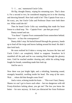'I – I … um,' stammered Uncle Colin.

Oh flip, thought Danny, wiping his streaming eyes. That's done it. For a second or two, he considered stepping out in to the clearing and showing himself. How bad could it be? This Captain Frost was a bit scary, yes, but Uncle Colin and Professor Dune were both there too. What could she do?

Then he heard Uncle Colin say something that made his heart freeze to a dead stop. 'No – Captain Frost – put that gun away!'

Danny turned and ran.

'You there!' Captain Frost commanded from somewhere behind. 'Stop now – or face the consequences!'

Danny didn't stop. He hurled himself through the greenery, hands up to fend off the twigs and leaves lashing around his head. He didn't dare look back.

He soon realised he'd taken a wrong turn, because the lane and Uncle Colin's car completely failed to reappear. Somehow he'd stumbled off the path and he was running blind through the gloomy trees. Until he reached another clearing and, while his aching lungs fought for breath, something made him look up.

And he saw it.

Now there was just bright light; and a whistling, humming sound, strangely beautiful, swelling inside his head. *The song of the stars.* Wait ... where did that thought come from?

And a voice, echoing inside his brain … 'This won't hurt, Danny. Shame we can't get to know each other – but too dangerous with old Frosty-Knickers lurking about, you get me? The less you know the better – for now anyway. At least you distracted her from Professor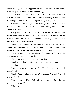Dune. He's legged it in the opposite direction. And here's Colin. Seeya mate. Maybe we'll see the stars another day, innit.'

The voice faded. Was that God? If so, God sounded a bit like Russell Brand. Danny was just dimly wondering whether God sounding like Russell Brand was a good thing or not, when ...

He found himself slumped in the passenger seat of Uncle Colin's car as it purred along the main road in the evening twilight. Travis Wood was gone.

He glanced across at Uncle Colin, who looked flushed and dishevelled, sweat glistening on his forehead – but when he looked back at Danny he grinned. 'Oh Danny … thank goodness. Nearly home now. Are you feeling OK?'

'Yeah, great.' Danny sat up straight and blinked. He had a tiny vague pain in his head, like he'd just eaten very cold ice-cream; and his neck ached. 'How long have I been asleep? I don't remember ...'

'Oh – not long. You, er, must have fallen asleep in the car while I was gone. I mean, you did. Definitely.'

'Oh … actually, are *you* OK? You look hot.'

'Yeah, fine. I didn't realise how heavy ten-year-olds were.'

'Pardon?'

'Nothing. Anyway – sure you're OK? Your, um, head and everything?'

'Yeah.' Danny picked a leaf out of his hair and frowned. How did that get there?

'And … um …' Uncle Colin cleared his throat. 'Er – do you remember anything?'

'About what?'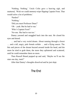'Nothing. Nothing.' Uncle Colin gave a heaving sigh, and muttered, 'Wish we could memory-wipe flipping Captain Frost. That would solve a lot of problems.'

'Pardon?'

'Nothing.'

'Did you meet Professor Dune?'

'Oh – yeah. But he had to run.'

'Who's Captain Frost?'

'No-one. She had to run too.'

Danny yawned and snuggled back into the seat. He closed his eyes and dozed.

… and had a very weird dream. About running through a forest … and a tall, angry, pale female solider … and a flying saucer. The bits and pieces of the dream buzzed around inside his head, and the more he tried to grab them, the more they splintered and scattered, until he could remember them no more.

Then Russell Brand popped up and said, 'Maybe we'll see the stars one day, innit?'

After that Danny's thoughts dissolved and he just slept.

## The End